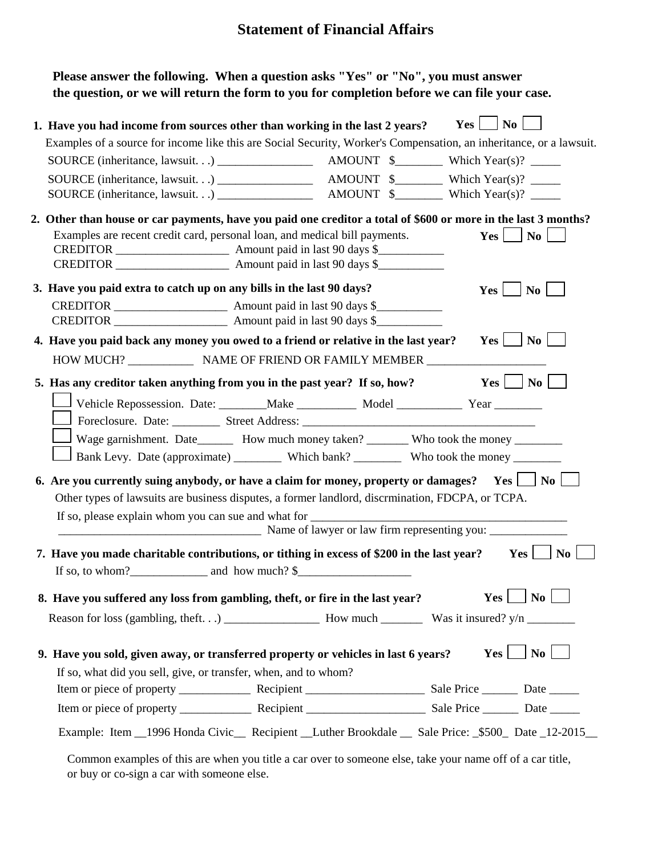## **Statement of Financial Affairs**

| Please answer the following. When a question asks "Yes" or "No", you must answer             |
|----------------------------------------------------------------------------------------------|
| the question, or we will return the form to you for completion before we can file your case. |

|                                                                                                                     | $Yes \t   No$<br>1. Have you had income from sources other than working in the last 2 years? |
|---------------------------------------------------------------------------------------------------------------------|----------------------------------------------------------------------------------------------|
| Examples of a source for income like this are Social Security, Worker's Compensation, an inheritance, or a lawsuit. |                                                                                              |
|                                                                                                                     | AMOUNT $\frac{1}{2}$ Which Year(s)? _______                                                  |
|                                                                                                                     | AMOUNT $\frac{1}{2}$ Which Year(s)? _______                                                  |
|                                                                                                                     |                                                                                              |
| 2. Other than house or car payments, have you paid one creditor a total of \$600 or more in the last 3 months?      |                                                                                              |
| Examples are recent credit card, personal loan, and medical bill payments.                                          | Yes<br>$\vert$ No $\vert$                                                                    |
|                                                                                                                     |                                                                                              |
|                                                                                                                     |                                                                                              |
| 3. Have you paid extra to catch up on any bills in the last 90 days?                                                | $Yes \mid \neg No \mid$                                                                      |
|                                                                                                                     |                                                                                              |
|                                                                                                                     |                                                                                              |
| 4. Have you paid back any money you owed to a friend or relative in the last year?                                  | $Yes \mid No \mid$                                                                           |
|                                                                                                                     |                                                                                              |
| 5. Has any creditor taken anything from you in the past year? If so, how?                                           | $Yes \Box No \Box$                                                                           |
|                                                                                                                     |                                                                                              |
| Vehicle Repossession. Date: ________Make ____________ Model ______________ Year __________                          |                                                                                              |
|                                                                                                                     |                                                                                              |
| Wage garnishment. Date_________ How much money taken? _________ Who took the money _________                        |                                                                                              |
|                                                                                                                     |                                                                                              |
|                                                                                                                     |                                                                                              |
|                                                                                                                     |                                                                                              |
| 6. Are you currently suing anybody, or have a claim for money, property or damages? Yes $\Box$ No $\Box$            |                                                                                              |
| Other types of lawsuits are business disputes, a former landlord, discrmination, FDCPA, or TCPA.                    |                                                                                              |
| If so, please explain whom you can sue and what for                                                                 |                                                                                              |
| Name of lawyer or law firm representing you:                                                                        |                                                                                              |
| 7. Have you made charitable contributions, or tithing in excess of \$200 in the last year?                          | Yes  <br>N <sub>0</sub>                                                                      |
|                                                                                                                     |                                                                                              |
| 8. Have you suffered any loss from gambling, theft, or fire in the last year?                                       | $Yes \bigsqcup No \bigsqcup$                                                                 |
|                                                                                                                     |                                                                                              |
|                                                                                                                     |                                                                                              |
|                                                                                                                     | $Yes \mid \mid N_0 \mid \mid$                                                                |
| 9. Have you sold, given away, or transferred property or vehicles in last 6 years?                                  |                                                                                              |
| If so, what did you sell, give, or transfer, when, and to whom?                                                     |                                                                                              |
|                                                                                                                     |                                                                                              |
| Example: Item 1996 Honda Civic Recipient Luther Brookdale Sale Price: \$500 Date 12-2015                            |                                                                                              |

Common examples of this are when you title a car over to someone else, take your name off of a car title, or buy or co-sign a car with someone else.